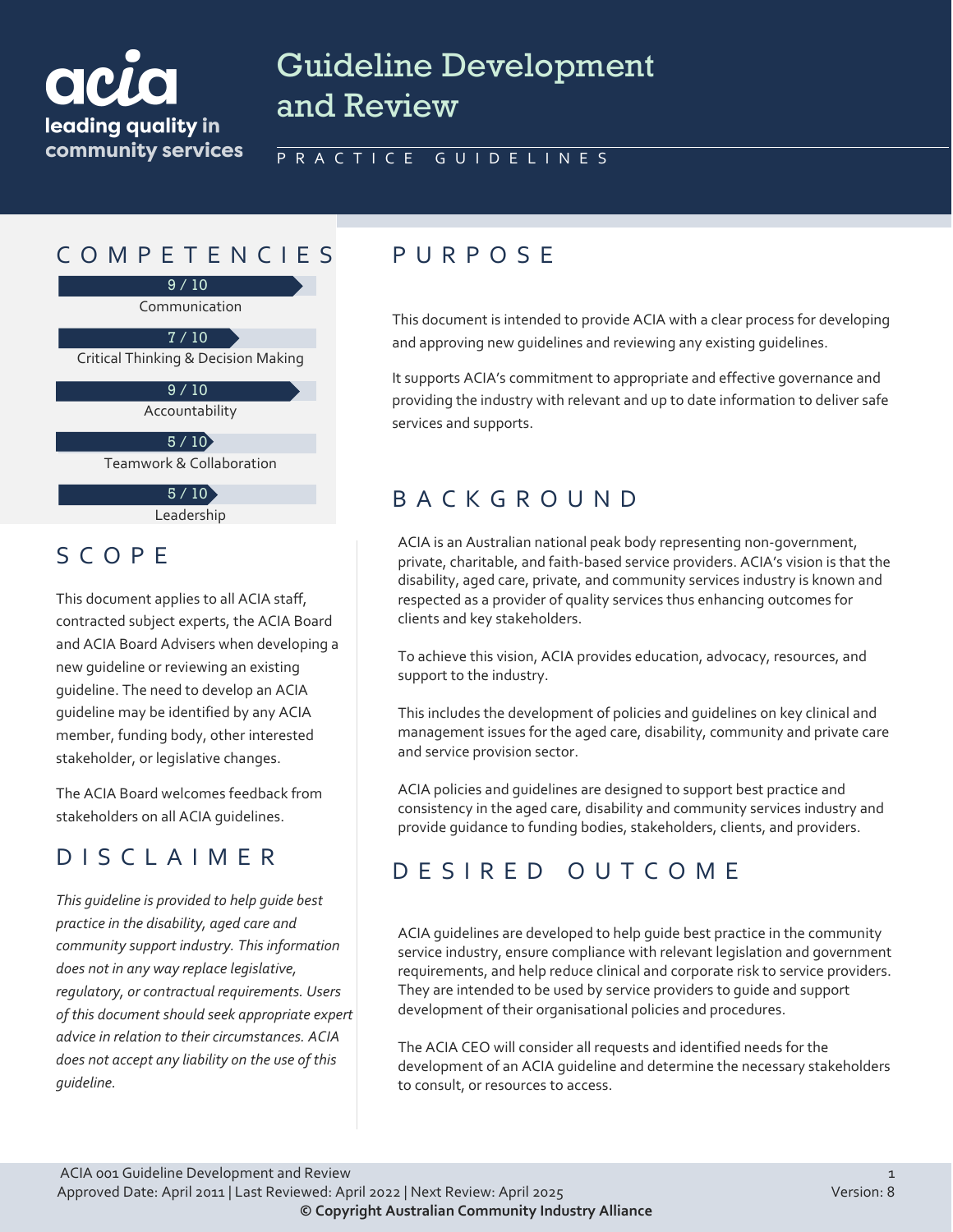

# Guideline Development and Review

#### PRACTICE GUIDELINES

### COMPETENCIES PURPOS E

9 / 10

Communication

Critical Thinking & Decision Making 7 / 10

> Accountability 9 / 10

 $5 / 10$ 

Teamwork & Collaboration

Leadership  $5/10$ 

#### SCOPE

This document applies to all ACIA staff, contracted subject experts, the ACIA Board and ACIA Board Advisers when developing a new guideline or reviewing an existing guideline. The need to develop an ACIA guideline may be identified by any ACIA member, funding body, other interested stakeholder, or legislative changes.

The ACIA Board welcomes feedback from stakeholders on all ACIA guidelines.

## DISCLAIMER

*This guideline is provided to help guide best practice in the disability, aged care and community support industry. This information does not in any way replace legislative, regulatory, or contractual requirements. Users of this document should seek appropriate expert advice in relation to their circumstances. ACIA does not accept any liability on the use of this guideline.*

This document is intended to provide ACIA with a clear process for developing and approving new guidelines and reviewing any existing guidelines.

It supports ACIA's commitment to appropriate and effective governance and providing the industry with relevant and up to date information to deliver safe services and supports.

## BACKGROUND

ACIA is an Australian national peak body representing non-government, private, charitable, and faith-based service providers. ACIA's vision is that the disability, aged care, private, and community services industry is known and respected as a provider of quality services thus enhancing outcomes for clients and key stakeholders.

To achieve this vision, ACIA provides education, advocacy, resources, and support to the industry.

This includes the development of policies and guidelines on key clinical and management issues for the aged care, disability, community and private care and service provision sector.

ACIA policies and guidelines are designed to support best practice and consistency in the aged care, disability and community services industry and provide guidance to funding bodies, stakeholders, clients, and providers.

### DESIRED OUTCOME

ACIA guidelines are developed to help guide best practice in the community service industry, ensure compliance with relevant legislation and government requirements, and help reduce clinical and corporate risk to service providers. They are intended to be used by service providers to guide and support development of their organisational policies and procedures.

The ACIA CEO will consider all requests and identified needs for the development of an ACIA guideline and determine the necessary stakeholders to consult, or resources to access.